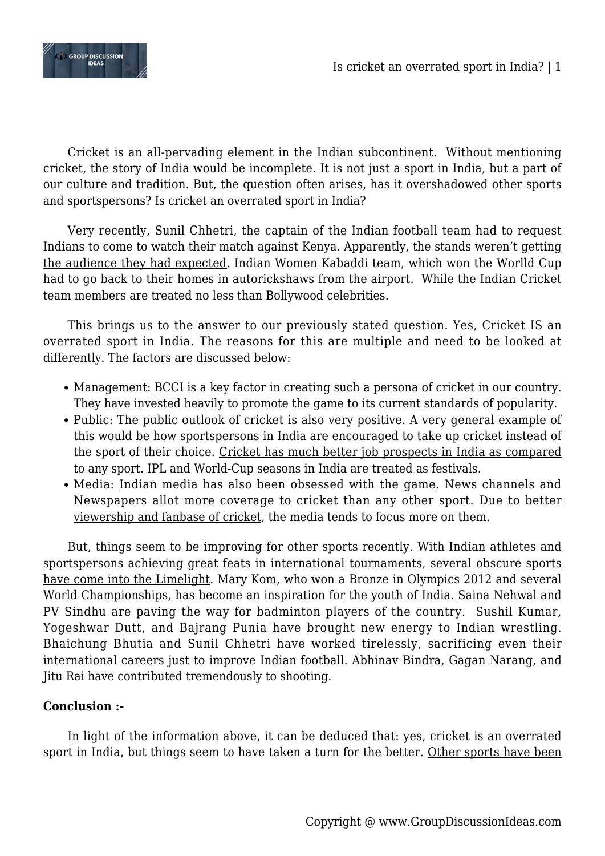

Cricket is an all-pervading element in the Indian subcontinent. Without mentioning cricket, the story of India would be incomplete. It is not just a sport in India, but a part of our culture and tradition. But, the question often arises, has it overshadowed other sports and sportspersons? Is cricket an overrated sport in India?

Very recently, Sunil Chhetri, the captain of the Indian football team had to request Indians to come to watch their match against Kenya. Apparently, the stands weren't getting the audience they had expected. Indian Women Kabaddi team, which won the Worlld Cup had to go back to their homes in autorickshaws from the airport. While the Indian Cricket team members are treated no less than Bollywood celebrities.

This brings us to the answer to our previously stated question. Yes, Cricket IS an overrated sport in India. The reasons for this are multiple and need to be looked at differently. The factors are discussed below:

- Management: BCCI is a key factor in creating such a persona of cricket in our country. They have invested heavily to promote the game to its current standards of popularity.
- Public: The public outlook of cricket is also very positive. A very general example of this would be how sportspersons in India are encouraged to take up cricket instead of the sport of their choice. Cricket has much better job prospects in India as compared to any sport. IPL and World-Cup seasons in India are treated as festivals.
- Media: Indian media has also been obsessed with the game. News channels and Newspapers allot more coverage to cricket than any other sport. Due to better viewership and fanbase of cricket, the media tends to focus more on them.

But, things seem to be improving for other sports recently. With Indian athletes and sportspersons achieving great feats in international tournaments, several obscure sports have come into the Limelight. Mary Kom, who won a Bronze in Olympics 2012 and several World Championships, has become an inspiration for the youth of India. Saina Nehwal and PV Sindhu are paving the way for badminton players of the country. Sushil Kumar, Yogeshwar Dutt, and Bajrang Punia have brought new energy to Indian wrestling. Bhaichung Bhutia and Sunil Chhetri have worked tirelessly, sacrificing even their international careers just to improve Indian football. Abhinav Bindra, Gagan Narang, and Jitu Rai have contributed tremendously to shooting.

## **Conclusion :-**

In light of the information above, it can be deduced that: yes, cricket is an overrated sport in India, but things seem to have taken a turn for the better. Other sports have been